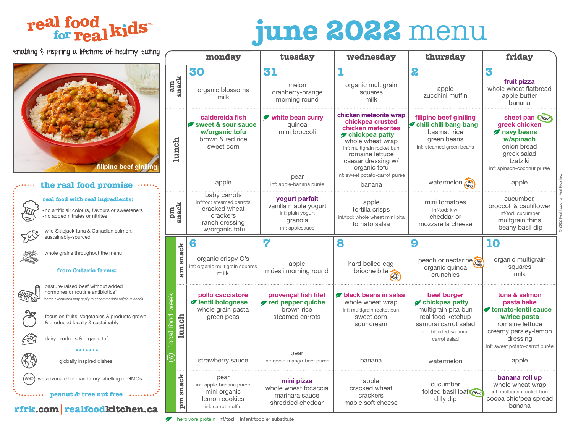## real food<br>for real kids

# **june 2022** menu

© 2022 Real Food for Real Kids Inc.

2022 Real Food for Real Kids

| enabling $\epsilon$ inspiring a lifetime of healthy eating                                                                                                   |                                                                                                                                                      | monday                                                                                                    | tuesday                                                                                   | wednesday                                                                                                                                                                                                                       | thursday                                                                                                   | friday                                                                                                                              |
|--------------------------------------------------------------------------------------------------------------------------------------------------------------|------------------------------------------------------------------------------------------------------------------------------------------------------|-----------------------------------------------------------------------------------------------------------|-------------------------------------------------------------------------------------------|---------------------------------------------------------------------------------------------------------------------------------------------------------------------------------------------------------------------------------|------------------------------------------------------------------------------------------------------------|-------------------------------------------------------------------------------------------------------------------------------------|
|                                                                                                                                                              |                                                                                                                                                      | 30                                                                                                        | 31                                                                                        |                                                                                                                                                                                                                                 | 2                                                                                                          | 3                                                                                                                                   |
|                                                                                                                                                              | am<br>snack                                                                                                                                          | organic blossoms<br>milk                                                                                  | melon<br>cranberry-orange<br>morning round                                                | organic multigrain<br>squares<br>milk                                                                                                                                                                                           | apple<br>zucchini muffin                                                                                   | fruit pizza<br>whole wheat flatbread<br>apple butter<br>banana                                                                      |
| filipino beef giniling                                                                                                                                       | lunch                                                                                                                                                | caldereida fish<br>sweet & sour sauce<br>w/organic tofu<br>brown & red rice<br>sweet corn                 | white bean curry<br>quinoa<br>mini broccoli<br>pear                                       | chicken meteorite wrap<br>chickpea crusted<br>chicken meteorites<br>chickpea patty<br>whole wheat wrap<br>inf: multigrain rocket bun<br>romaine lettuce<br>caesar dressing w/<br>organic tofu<br>inf: sweet potato-carrot purée | filipino beef giniling<br>chili chili bang bang<br>basmati rice<br>green beans<br>inf: steamed green beans | sheet pan Chew!<br>greek chicken<br>navy beans<br>w/spinach<br>onion bread<br>greek salad<br>tzatziki<br>inf: spinach-coconut purée |
| the real food promise                                                                                                                                        |                                                                                                                                                      | apple                                                                                                     | inf: apple-banana purée                                                                   | banana                                                                                                                                                                                                                          | watermelon                                                                                                 | apple                                                                                                                               |
| real food with real ingredients:<br>no artificial: colours, flavours or sweeteners<br>no added nitrates or nitrites<br>wild Skipjack tuna & Canadian salmon, | pm<br>snack                                                                                                                                          | baby carrots<br>inf/tod: steamed carrots<br>cracked wheat<br>crackers<br>ranch dressing<br>w/organic tofu | yogurt parfait<br>vanilla maple yogurt<br>inf: plain yogurt<br>granola<br>inf: applesauce | apple<br>tortilla crisps<br>inf/tod: whole wheat mini pita<br>tomato salsa                                                                                                                                                      | mini tomatoes<br>inf/tod: kiwi<br>cheddar or<br>mozzarella cheese                                          | cucumber.<br>broccoli & cauliflower<br>inf/tod: cucumber<br>multgrain thins<br>beany basil dip                                      |
| 505<br>sustainably-sourced                                                                                                                                   |                                                                                                                                                      | 6                                                                                                         | 7                                                                                         | 8                                                                                                                                                                                                                               | 9                                                                                                          | 10                                                                                                                                  |
| whole grains throughout the menu<br>from Ontario farms:                                                                                                      | snack<br>am                                                                                                                                          | organic crispy O's<br>inf: organic multigrain squares<br>milk                                             | apple<br>müesli morning round                                                             | hard boiled egg<br>brioche bite                                                                                                                                                                                                 | peach or nectarine<br>organic quinoa<br>crunchies                                                          | organic multigrain<br>squares<br>milk                                                                                               |
| pasture-raised beef without added<br>hormones or routine antibiotics*<br>some exceptions may apply to accommodate religious needs                            |                                                                                                                                                      | pollo cacciatore<br>lentil bolognese<br>whole grain pasta                                                 | provençal fish filet<br>red pepper quiche<br>brown rice                                   | black beans in salsa<br>whole wheat wrap<br>inf: multigrain rocket bun                                                                                                                                                          | beef burger<br>chickpea patty<br>multigrain pita bun                                                       | tuna & salmon<br>pasta bake<br>tomato-lentil sauce                                                                                  |
| focus on fruits, vegetables & products grown<br>& produced locally & sustainably<br>$\cancel{\epsilon}$<br>dairy products & organic tofu                     | local food week<br>lunch                                                                                                                             | green peas                                                                                                | steamed carrots                                                                           | sweet corn<br>sour cream                                                                                                                                                                                                        | real food ketchup<br>samurai carrot salad<br>inf: blended samurai<br>carrot salad                          | w/rice pasta<br>romaine lettuce<br>creamy parsley-lemon<br>dressing                                                                 |
|                                                                                                                                                              |                                                                                                                                                      |                                                                                                           |                                                                                           |                                                                                                                                                                                                                                 |                                                                                                            | inf: sweet potato-carrot purée                                                                                                      |
| globally inspired dishes                                                                                                                                     | $\mathfrak{B}% _{T}=\mathfrak{B}_{T}\!\left( a,b\right) ,\ \mathfrak{B}_{T}=C_{T}\!\left( a,b\right) ,\ \mathfrak{B}_{T}=C_{T}\!\left( a,b\right) ,$ | strawberry sauce                                                                                          | pear<br>inf: apple-mango-beet purée                                                       | banana                                                                                                                                                                                                                          | watermelon                                                                                                 | apple                                                                                                                               |
| GMO<br>we advocate for mandatory labelling of GMOs<br>peanut & tree nut free                                                                                 | snack                                                                                                                                                | pear<br>inf: apple-banana purée<br>mini organic                                                           | mini pizza<br>whole wheat focaccia                                                        | apple<br>cracked wheat                                                                                                                                                                                                          | cucumber<br>folded basil loaf new                                                                          | banana roll up<br>whole wheat wrap<br>inf: multigrain rocket bun                                                                    |
| rfrk.com realfoodkitchen.ca                                                                                                                                  | mq                                                                                                                                                   | lemon cookies<br>inf: carrot muffin                                                                       | marinara sauce<br>shredded cheddar                                                        | crackers<br>maple soft cheese                                                                                                                                                                                                   | dilly dip                                                                                                  | cocoa chic'pea spread<br>banana                                                                                                     |

= herbivore protein **inf/tod** = infant/toddler substitute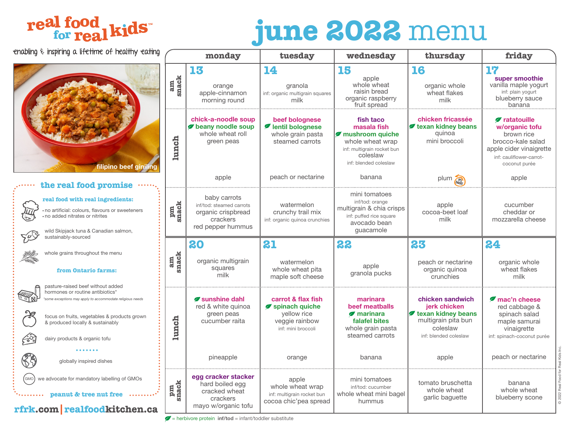## real food<br>for real kids

# **june 2022** menu

© 2022 Real Food for Real Kids Inc.

@ 2022 Real Food for Real Kids Inc

| enabling $\epsilon$ inspiring a lifetime of healthy eating                                                                                                                                                                                                                    |             | monday                                                                                          | tuesday                                                                                     | wednesday                                                                                                                          | thursday                                                                                                           | friday                                                                                                                                                   |
|-------------------------------------------------------------------------------------------------------------------------------------------------------------------------------------------------------------------------------------------------------------------------------|-------------|-------------------------------------------------------------------------------------------------|---------------------------------------------------------------------------------------------|------------------------------------------------------------------------------------------------------------------------------------|--------------------------------------------------------------------------------------------------------------------|----------------------------------------------------------------------------------------------------------------------------------------------------------|
|                                                                                                                                                                                                                                                                               | am<br>snack | 13<br>orange<br>apple-cinnamon<br>morning round                                                 | 14<br>granola<br>inf: organic multigrain squares<br>milk                                    | 15<br>apple<br>whole wheat<br>raisin bread<br>organic raspberry<br>fruit spread                                                    | 16<br>organic whole<br>wheat flakes<br>milk                                                                        | 17<br>super smoothie<br>vanilla maple yogurt<br>inf: plain yogurt<br>blueberry sauce<br>banana                                                           |
| filipino beef giniling                                                                                                                                                                                                                                                        | lunch       | chick-a-noodle soup<br>beany noodle soup<br>whole wheat roll<br>green peas                      | beef bolognese<br>lentil bolognese<br>whole grain pasta<br>steamed carrots                  | fish taco<br>masala fish<br>mushroom quiche<br>whole wheat wrap<br>inf: multigrain rocket bun<br>coleslaw<br>inf: blended coleslaw | chicken fricassée<br>texan kidney beans<br>quinoa<br>mini broccoli                                                 | <b><i>Ø</i></b> ratatouille<br>w/organic tofu<br>brown rice<br>brocco-kale salad<br>apple cider vinaigrette<br>inf: cauliflower-carrot-<br>coconut purée |
| the real food promise                                                                                                                                                                                                                                                         |             | apple                                                                                           | peach or nectarine                                                                          | banana                                                                                                                             | plum back                                                                                                          | apple                                                                                                                                                    |
| real food with real ingredients:<br>no artificial: colours, flavours or sweeteners<br>no added nitrates or nitrites<br>wild Skipjack tuna & Canadian salmon,                                                                                                                  | pm<br>snack | baby carrots<br>inf/tod: steamed carrots<br>organic crispbread<br>crackers<br>red pepper hummus | watermelon<br>crunchy trail mix<br>inf: organic quinoa crunchies                            | mini tomatoes<br>inf/tod: orange<br>multigrain & chia crisps<br>inf: puffed rice square<br>avocado bean<br>guacamole               | apple<br>cocoa-beet loaf<br>milk                                                                                   | cucumber<br>cheddar or<br>mozzarella cheese                                                                                                              |
| sustainably-sourced                                                                                                                                                                                                                                                           | am<br>snack | 20                                                                                              | 21                                                                                          | 22                                                                                                                                 | 23                                                                                                                 | 24                                                                                                                                                       |
| whole grains throughout the menu<br>from Ontario farms:                                                                                                                                                                                                                       |             | organic multigrain<br>squares<br>milk                                                           | watermelon<br>whole wheat pita<br>maple soft cheese                                         | apple<br>granola pucks                                                                                                             | peach or nectarine<br>organic quinoa<br>crunchies                                                                  | organic whole<br>wheat flakes<br>milk                                                                                                                    |
| pasture-raised beef without added<br>hormones or routine antibiotics*<br>some exceptions may apply to accommodate religious needs<br>focus on fruits, vegetables & products grown<br>& produced locally & sustainably<br>$\cancel{\epsilon}$<br>dairy products & organic tofu | lunch       | Sunshine dahl<br>red & white quinoa<br>green peas<br>cucumber raita                             | carrot & flax fish<br>Spinach quiche<br>yellow rice<br>veggie rainbow<br>inf: mini broccoli | marinara<br>beef meatballs<br>$\blacktriangledown$ marinara<br>falafel bites<br>whole grain pasta<br>steamed carrots               | chicken sandwich<br>jerk chicken<br>texan kidney beans<br>multigrain pita bun<br>coleslaw<br>inf: blended coleslaw | mac'n cheese<br>red cabbage &<br>spinach salad<br>maple samurai<br>vinaigrette<br>inf: spinach-coconut purée                                             |
| globally inspired dishes                                                                                                                                                                                                                                                      |             | pineapple                                                                                       | orange                                                                                      | banana                                                                                                                             | apple                                                                                                              | peach or nectarine                                                                                                                                       |
| (GMO<br>we advocate for mandatory labelling of GMOs<br>peanut & tree nut free<br>rfrk.com realfoodkitchen.ca                                                                                                                                                                  | pm<br>snack | egg cracker stacker<br>hard boiled egg<br>cracked wheat<br>crackers<br>mayo w/organic tofu      | apple<br>whole wheat wrap<br>inf: multigrain rocket bun<br>cocoa chic'pea spread            | mini tomatoes<br>inf/tod: cucumber<br>whole wheat mini bagel<br>hummus                                                             | tomato bruschetta<br>whole wheat<br>garlic baguette                                                                | banana<br>whole wheat<br>blueberry scone                                                                                                                 |

 $\mathcal{L}$  = herbivore protein **inf/tod** = infant/toddler substitute